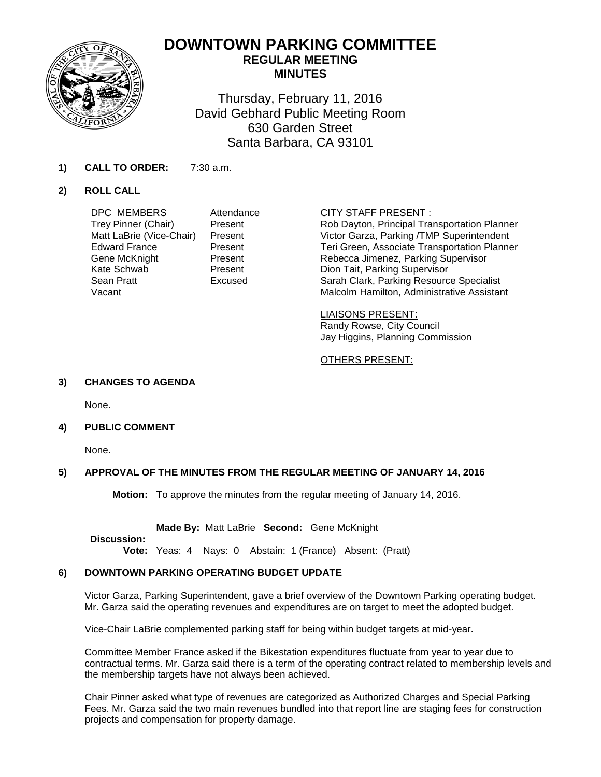

# **DOWNTOWN PARKING COMMITTEE REGULAR MEETING MINUTES**

Thursday, February 11, 2016 David Gebhard Public Meeting Room 630 Garden Street Santa Barbara, CA 93101

# **1) CALL TO ORDER:** 7:30 a.m.

# **2) ROLL CALL**

**DPC MEMBERS** Attendance **CITY STAFF PRESENT :**<br>
Trey Pinner (Chair) Present Rob Dayton, Principal Tra

Present Rob Dayton, Principal Transportation Planner Matt LaBrie (Vice-Chair) Present Victor Garza, Parking /TMP Superintendent Edward France **Present** Present Teri Green, Associate Transportation Planner Gene McKnight **Present** Present Rebecca Jimenez, Parking Supervisor<br>
Kate Schwab **Reparament** Present Dion Tait. Parking Supervisor Kate Schwab Present Dion Tait, Parking Supervisor Excused Sarah Clark, Parking Resource Specialist Vacant **Malcolm Hamilton, Administrative Assistant** Malcolm Hamilton, Administrative Assistant

> LIAISONS PRESENT: Randy Rowse, City Council Jay Higgins, Planning Commission

# OTHERS PRESENT:

# **3) CHANGES TO AGENDA**

None.

**4) PUBLIC COMMENT**

None.

# **5) APPROVAL OF THE MINUTES FROM THE REGULAR MEETING OF JANUARY 14, 2016**

**Motion:** To approve the minutes from the regular meeting of January 14, 2016.

**Made By:** Matt LaBrie **Second:** Gene McKnight

**Discussion:**

**Vote:** Yeas: 4 Nays: 0 Abstain: 1 (France) Absent: (Pratt)

# **6) DOWNTOWN PARKING OPERATING BUDGET UPDATE**

Victor Garza, Parking Superintendent, gave a brief overview of the Downtown Parking operating budget. Mr. Garza said the operating revenues and expenditures are on target to meet the adopted budget.

Vice-Chair LaBrie complemented parking staff for being within budget targets at mid-year.

Committee Member France asked if the Bikestation expenditures fluctuate from year to year due to contractual terms. Mr. Garza said there is a term of the operating contract related to membership levels and the membership targets have not always been achieved.

Chair Pinner asked what type of revenues are categorized as Authorized Charges and Special Parking Fees. Mr. Garza said the two main revenues bundled into that report line are staging fees for construction projects and compensation for property damage.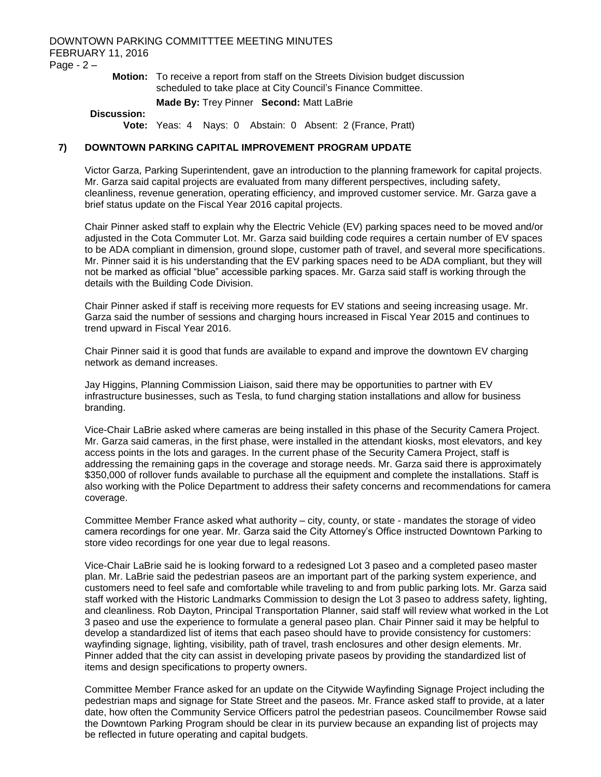# DOWNTOWN PARKING COMMITTTEE MEETING MINUTES FEBRUARY 11, 2016 Page - 2 –

**Motion:** To receive a report from staff on the Streets Division budget discussion scheduled to take place at City Council's Finance Committee.

### **Made By:** Trey Pinner **Second:** Matt LaBrie

## **Discussion:**

**Vote:** Yeas: 4 Nays: 0 Abstain: 0 Absent: 2 (France, Pratt)

# **7) DOWNTOWN PARKING CAPITAL IMPROVEMENT PROGRAM UPDATE**

Victor Garza, Parking Superintendent, gave an introduction to the planning framework for capital projects. Mr. Garza said capital projects are evaluated from many different perspectives, including safety, cleanliness, revenue generation, operating efficiency, and improved customer service. Mr. Garza gave a brief status update on the Fiscal Year 2016 capital projects.

Chair Pinner asked staff to explain why the Electric Vehicle (EV) parking spaces need to be moved and/or adjusted in the Cota Commuter Lot. Mr. Garza said building code requires a certain number of EV spaces to be ADA compliant in dimension, ground slope, customer path of travel, and several more specifications. Mr. Pinner said it is his understanding that the EV parking spaces need to be ADA compliant, but they will not be marked as official "blue" accessible parking spaces. Mr. Garza said staff is working through the details with the Building Code Division.

Chair Pinner asked if staff is receiving more requests for EV stations and seeing increasing usage. Mr. Garza said the number of sessions and charging hours increased in Fiscal Year 2015 and continues to trend upward in Fiscal Year 2016.

Chair Pinner said it is good that funds are available to expand and improve the downtown EV charging network as demand increases.

Jay Higgins, Planning Commission Liaison, said there may be opportunities to partner with EV infrastructure businesses, such as Tesla, to fund charging station installations and allow for business branding.

Vice-Chair LaBrie asked where cameras are being installed in this phase of the Security Camera Project. Mr. Garza said cameras, in the first phase, were installed in the attendant kiosks, most elevators, and key access points in the lots and garages. In the current phase of the Security Camera Project, staff is addressing the remaining gaps in the coverage and storage needs. Mr. Garza said there is approximately \$350,000 of rollover funds available to purchase all the equipment and complete the installations. Staff is also working with the Police Department to address their safety concerns and recommendations for camera coverage.

Committee Member France asked what authority – city, county, or state - mandates the storage of video camera recordings for one year. Mr. Garza said the City Attorney's Office instructed Downtown Parking to store video recordings for one year due to legal reasons.

Vice-Chair LaBrie said he is looking forward to a redesigned Lot 3 paseo and a completed paseo master plan. Mr. LaBrie said the pedestrian paseos are an important part of the parking system experience, and customers need to feel safe and comfortable while traveling to and from public parking lots. Mr. Garza said staff worked with the Historic Landmarks Commission to design the Lot 3 paseo to address safety, lighting, and cleanliness. Rob Dayton, Principal Transportation Planner, said staff will review what worked in the Lot 3 paseo and use the experience to formulate a general paseo plan. Chair Pinner said it may be helpful to develop a standardized list of items that each paseo should have to provide consistency for customers: wayfinding signage, lighting, visibility, path of travel, trash enclosures and other design elements. Mr. Pinner added that the city can assist in developing private paseos by providing the standardized list of items and design specifications to property owners.

Committee Member France asked for an update on the Citywide Wayfinding Signage Project including the pedestrian maps and signage for State Street and the paseos. Mr. France asked staff to provide, at a later date, how often the Community Service Officers patrol the pedestrian paseos. Councilmember Rowse said the Downtown Parking Program should be clear in its purview because an expanding list of projects may be reflected in future operating and capital budgets.